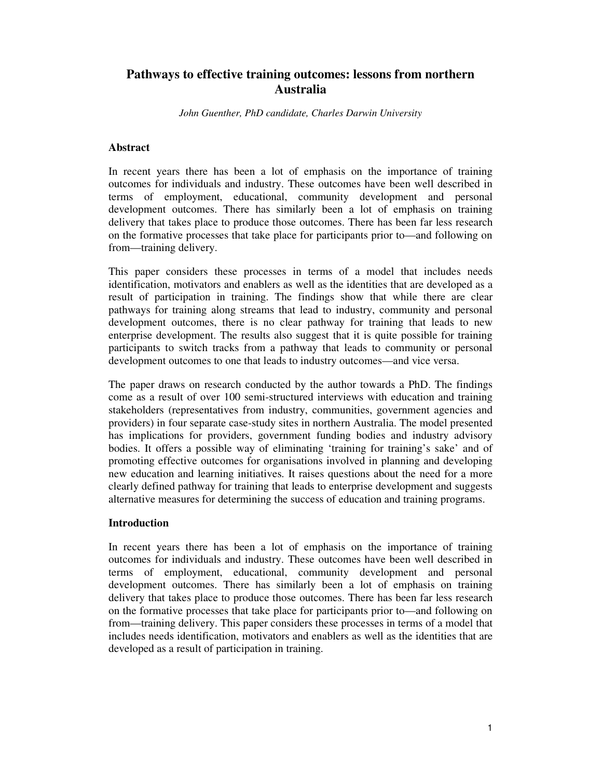# **Pathways to effective training outcomes: lessons from northern Australia**

*John Guenther, PhD candidate, Charles Darwin University*

#### **Abstract**

In recent years there has been a lot of emphasis on the importance of training outcomes for individuals and industry. These outcomes have been well described in terms of employment, educational, community development and personal development outcomes. There has similarly been a lot of emphasis on training delivery that takes place to produce those outcomes. There has been far less research on the formative processes that take place for participants prior to—and following on from—training delivery.

This paper considers these processes in terms of a model that includes needs identification, motivators and enablers as well as the identities that are developed as a result of participation in training. The findings show that while there are clear pathways for training along streams that lead to industry, community and personal development outcomes, there is no clear pathway for training that leads to new enterprise development. The results also suggest that it is quite possible for training participants to switch tracks from a pathway that leads to community or personal development outcomes to one that leads to industry outcomes—and vice versa.

The paper draws on research conducted by the author towards a PhD. The findings come as a result of over 100 semi-structured interviews with education and training stakeholders (representatives from industry, communities, government agencies and providers) in four separate case-study sites in northern Australia. The model presented has implications for providers, government funding bodies and industry advisory bodies. It offers a possible way of eliminating 'training for training's sake' and of promoting effective outcomes for organisations involved in planning and developing new education and learning initiatives. It raises questions about the need for a more clearly defined pathway for training that leads to enterprise development and suggests alternative measures for determining the success of education and training programs.

#### **Introduction**

In recent years there has been a lot of emphasis on the importance of training outcomes for individuals and industry. These outcomes have been well described in terms of employment, educational, community development and personal development outcomes. There has similarly been a lot of emphasis on training delivery that takes place to produce those outcomes. There has been far less research on the formative processes that take place for participants prior to—and following on from—training delivery. This paper considers these processes in terms of a model that includes needs identification, motivators and enablers as well as the identities that are developed as a result of participation in training.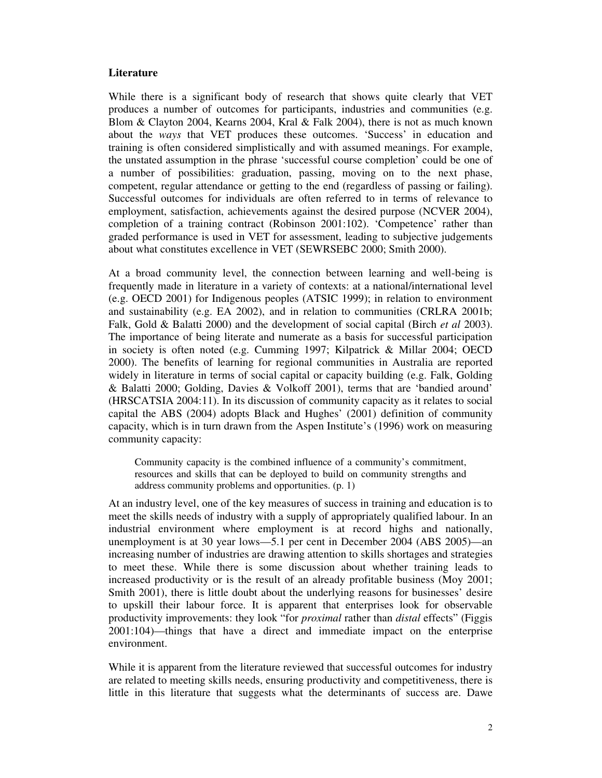#### **Literature**

While there is a significant body of research that shows quite clearly that VET produces a number of outcomes for participants, industries and communities (e.g. Blom & Clayton 2004, Kearns 2004, Kral & Falk 2004), there is not as much known about the *ways* that VET produces these outcomes. 'Success' in education and training is often considered simplistically and with assumed meanings. For example, the unstated assumption in the phrase 'successful course completion' could be one of a number of possibilities: graduation, passing, moving on to the next phase, competent, regular attendance or getting to the end (regardless of passing or failing). Successful outcomes for individuals are often referred to in terms of relevance to employment, satisfaction, achievements against the desired purpose (NCVER 2004), completion of a training contract (Robinson 2001:102). 'Competence' rather than graded performance is used in VET for assessment, leading to subjective judgements about what constitutes excellence in VET (SEWRSEBC 2000; Smith 2000).

At a broad community level, the connection between learning and well-being is frequently made in literature in a variety of contexts: at a national/international level (e.g. OECD 2001) for Indigenous peoples (ATSIC 1999); in relation to environment and sustainability (e.g. EA 2002), and in relation to communities (CRLRA 2001b; Falk, Gold & Balatti 2000) and the development of social capital (Birch *et al* 2003). The importance of being literate and numerate as a basis for successful participation in society is often noted (e.g. Cumming 1997; Kilpatrick & Millar 2004; OECD 2000). The benefits of learning for regional communities in Australia are reported widely in literature in terms of social capital or capacity building (e.g. Falk, Golding & Balatti 2000; Golding, Davies & Volkoff 2001), terms that are 'bandied around' (HRSCATSIA 2004:11). In its discussion of community capacity as it relates to social capital the ABS (2004) adopts Black and Hughes' (2001) definition of community capacity, which is in turn drawn from the Aspen Institute's (1996) work on measuring community capacity:

Community capacity is the combined influence of a community's commitment, resources and skills that can be deployed to build on community strengths and address community problems and opportunities. (p. 1)

At an industry level, one of the key measures of success in training and education is to meet the skills needs of industry with a supply of appropriately qualified labour. In an industrial environment where employment is at record highs and nationally, unemployment is at 30 year lows—5.1 per cent in December 2004 (ABS 2005)—an increasing number of industries are drawing attention to skills shortages and strategies to meet these. While there is some discussion about whether training leads to increased productivity or is the result of an already profitable business (Moy 2001; Smith 2001), there is little doubt about the underlying reasons for businesses' desire to upskill their labour force. It is apparent that enterprises look for observable productivity improvements: they look "for *proximal* rather than *distal* effects" (Figgis 2001:104)—things that have a direct and immediate impact on the enterprise environment.

While it is apparent from the literature reviewed that successful outcomes for industry are related to meeting skills needs, ensuring productivity and competitiveness, there is little in this literature that suggests what the determinants of success are. Dawe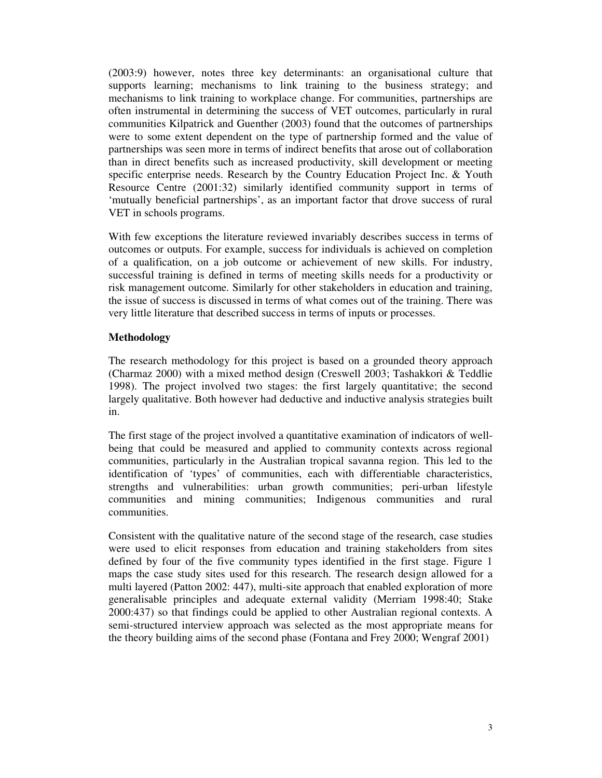(2003:9) however, notes three key determinants: an organisational culture that supports learning; mechanisms to link training to the business strategy; and mechanisms to link training to workplace change. For communities, partnerships are often instrumental in determining the success of VET outcomes, particularly in rural communities Kilpatrick and Guenther (2003) found that the outcomes of partnerships were to some extent dependent on the type of partnership formed and the value of partnerships was seen more in terms of indirect benefits that arose out of collaboration than in direct benefits such as increased productivity, skill development or meeting specific enterprise needs. Research by the Country Education Project Inc. & Youth Resource Centre (2001:32) similarly identified community support in terms of 'mutually beneficial partnerships', as an important factor that drove success of rural VET in schools programs.

With few exceptions the literature reviewed invariably describes success in terms of outcomes or outputs. For example, success for individuals is achieved on completion of a qualification, on a job outcome or achievement of new skills. For industry, successful training is defined in terms of meeting skills needs for a productivity or risk management outcome. Similarly for other stakeholders in education and training, the issue of success is discussed in terms of what comes out of the training. There was very little literature that described success in terms of inputs or processes.

## **Methodology**

The research methodology for this project is based on a grounded theory approach (Charmaz 2000) with a mixed method design (Creswell 2003; Tashakkori & Teddlie 1998). The project involved two stages: the first largely quantitative; the second largely qualitative. Both however had deductive and inductive analysis strategies built in.

The first stage of the project involved a quantitative examination of indicators of wellbeing that could be measured and applied to community contexts across regional communities, particularly in the Australian tropical savanna region. This led to the identification of 'types' of communities, each with differentiable characteristics, strengths and vulnerabilities: urban growth communities; peri-urban lifestyle communities and mining communities; Indigenous communities and rural communities.

Consistent with the qualitative nature of the second stage of the research, case studies were used to elicit responses from education and training stakeholders from sites defined by four of the five community types identified in the first stage. Figure 1 maps the case study sites used for this research. The research design allowed for a multi layered (Patton 2002: 447), multi-site approach that enabled exploration of more generalisable principles and adequate external validity (Merriam 1998:40; Stake 2000:437) so that findings could be applied to other Australian regional contexts. A semi-structured interview approach was selected as the most appropriate means for the theory building aims of the second phase (Fontana and Frey 2000; Wengraf 2001)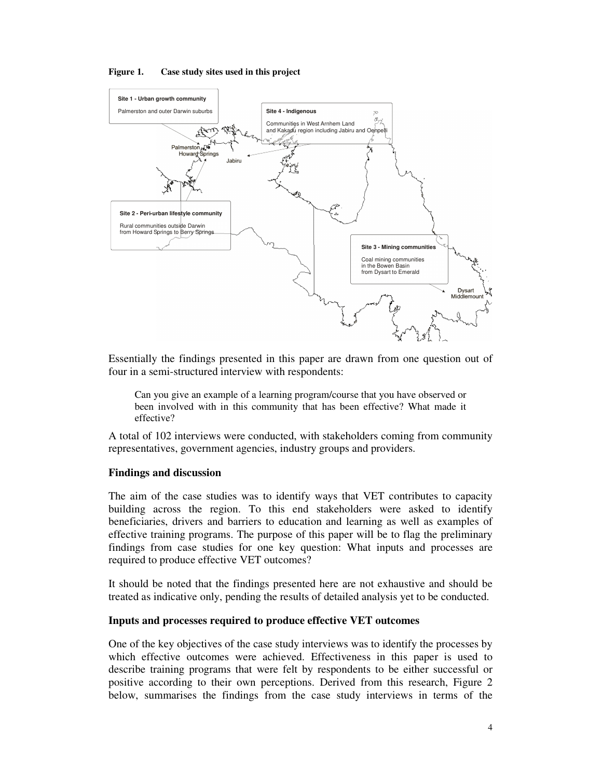



Essentially the findings presented in this paper are drawn from one question out of four in a semi-structured interview with respondents:

Can you give an example of a learning program/course that you have observed or been involved with in this community that has been effective? What made it effective?

A total of 102 interviews were conducted, with stakeholders coming from community representatives, government agencies, industry groups and providers.

#### **Findings and discussion**

The aim of the case studies was to identify ways that VET contributes to capacity building across the region. To this end stakeholders were asked to identify beneficiaries, drivers and barriers to education and learning as well as examples of effective training programs. The purpose of this paper will be to flag the preliminary findings from case studies for one key question: What inputs and processes are required to produce effective VET outcomes?

It should be noted that the findings presented here are not exhaustive and should be treated as indicative only, pending the results of detailed analysis yet to be conducted.

#### **Inputs and processes required to produce effective VET outcomes**

One of the key objectives of the case study interviews was to identify the processes by which effective outcomes were achieved. Effectiveness in this paper is used to describe training programs that were felt by respondents to be either successful or positive according to their own perceptions. Derived from this research, Figure 2 below, summarises the findings from the case study interviews in terms of the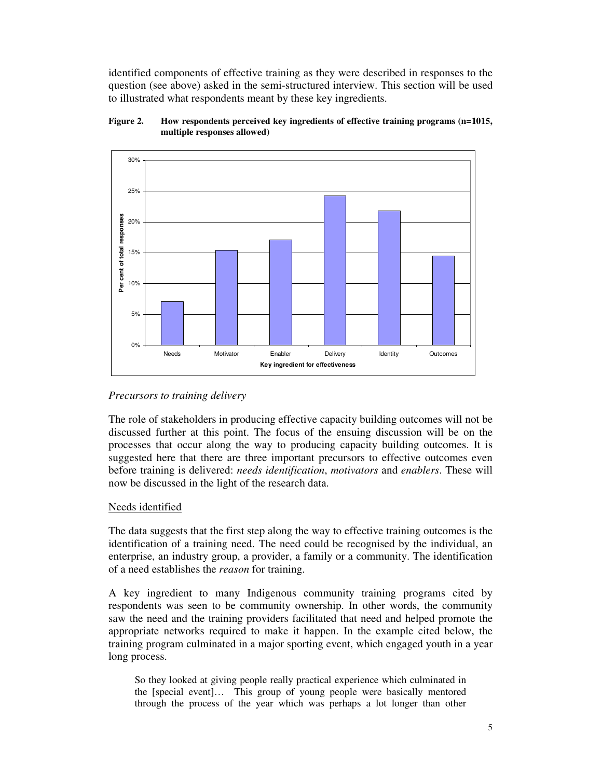identified components of effective training as they were described in responses to the question (see above) asked in the semi-structured interview. This section will be used to illustrated what respondents meant by these key ingredients.





## *Precursors to training delivery*

The role of stakeholders in producing effective capacity building outcomes will not be discussed further at this point. The focus of the ensuing discussion will be on the processes that occur along the way to producing capacity building outcomes. It is suggested here that there are three important precursors to effective outcomes even before training is delivered: *needs identification*, *motivators* and *enablers*. These will now be discussed in the light of the research data.

## Needs identified

The data suggests that the first step along the way to effective training outcomes is the identification of a training need. The need could be recognised by the individual, an enterprise, an industry group, a provider, a family or a community. The identification of a need establishes the *reason* for training.

A key ingredient to many Indigenous community training programs cited by respondents was seen to be community ownership. In other words, the community saw the need and the training providers facilitated that need and helped promote the appropriate networks required to make it happen. In the example cited below, the training program culminated in a major sporting event, which engaged youth in a year long process.

So they looked at giving people really practical experience which culminated in the [special event]… This group of young people were basically mentored through the process of the year which was perhaps a lot longer than other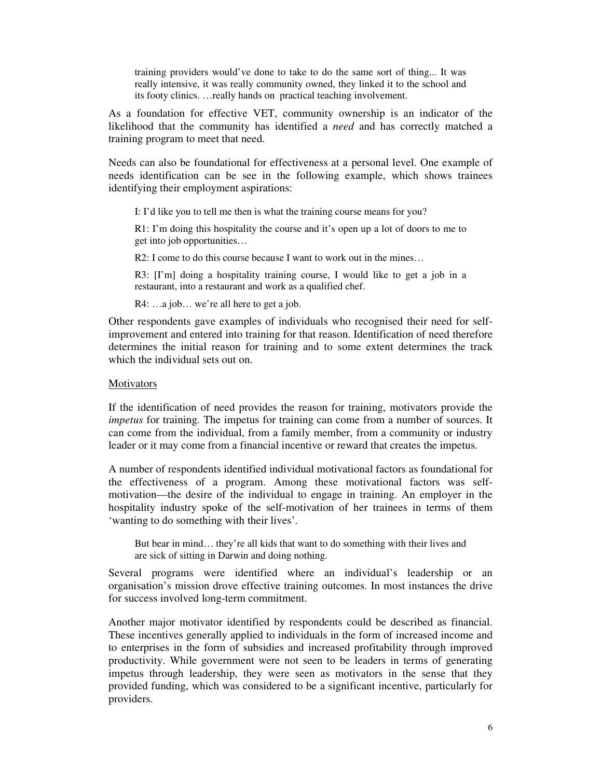training providers would've done to take to do the same sort of thing... It was really intensive, it was really community owned, they linked it to the school and its footy clinics. …really hands on practical teaching involvement.

As a foundation for effective VET, community ownership is an indicator of the likelihood that the community has identified a *need* and has correctly matched a training program to meet that need.

Needs can also be foundational for effectiveness at a personal level. One example of needs identification can be see in the following example, which shows trainees identifying their employment aspirations:

I: I'd like you to tell me then is what the training course means for you?

R1: I'm doing this hospitality the course and it's open up a lot of doors to me to get into job opportunities…

R2: I come to do this course because I want to work out in the mines...

R3: [I'm] doing a hospitality training course, I would like to get a job in a restaurant, into a restaurant and work as a qualified chef.

R4: ...a job... we're all here to get a job.

Other respondents gave examples of individuals who recognised their need for selfimprovement and entered into training for that reason. Identification of need therefore determines the initial reason for training and to some extent determines the track which the individual sets out on.

#### **Motivators**

If the identification of need provides the reason for training, motivators provide the *impetus* for training. The impetus for training can come from a number of sources. It can come from the individual, from a family member, from a community or industry leader or it may come from a financial incentive or reward that creates the impetus.

A number of respondents identified individual motivational factors as foundational for the effectiveness of a program. Among these motivational factors was selfmotivation—the desire of the individual to engage in training. An employer in the hospitality industry spoke of the self-motivation of her trainees in terms of them 'wanting to do something with their lives'.

But bear in mind… they're all kids that want to do something with their lives and are sick of sitting in Darwin and doing nothing.

Several programs were identified where an individual's leadership or an organisation's mission drove effective training outcomes. In most instances the drive for success involved long-term commitment.

Another major motivator identified by respondents could be described as financial. These incentives generally applied to individuals in the form of increased income and to enterprises in the form of subsidies and increased profitability through improved productivity. While government were not seen to be leaders in terms of generating impetus through leadership, they were seen as motivators in the sense that they provided funding, which was considered to be a significant incentive, particularly for providers.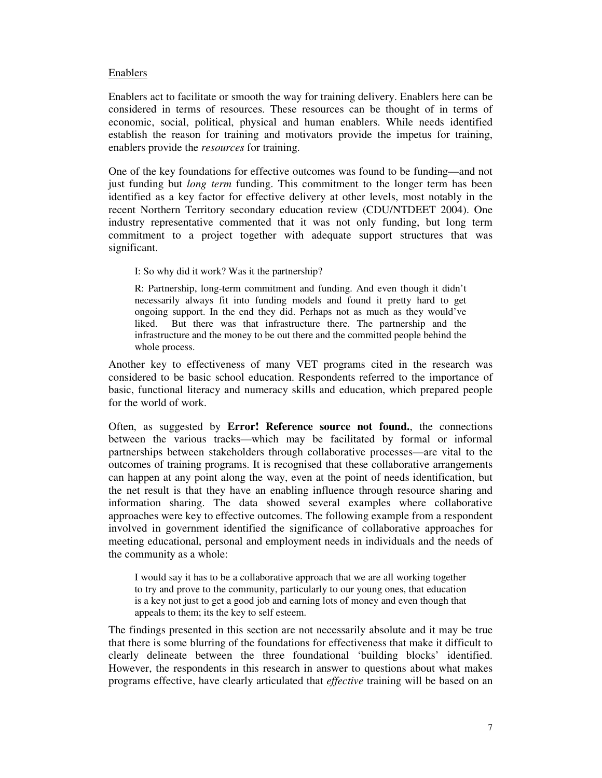#### Enablers

Enablers act to facilitate or smooth the way for training delivery. Enablers here can be considered in terms of resources. These resources can be thought of in terms of economic, social, political, physical and human enablers. While needs identified establish the reason for training and motivators provide the impetus for training, enablers provide the *resources* for training.

One of the key foundations for effective outcomes was found to be funding—and not just funding but *long term* funding. This commitment to the longer term has been identified as a key factor for effective delivery at other levels, most notably in the recent Northern Territory secondary education review (CDU/NTDEET 2004). One industry representative commented that it was not only funding, but long term commitment to a project together with adequate support structures that was significant.

I: So why did it work? Was it the partnership?

R: Partnership, long-term commitment and funding. And even though it didn't necessarily always fit into funding models and found it pretty hard to get ongoing support. In the end they did. Perhaps not as much as they would've liked. But there was that infrastructure there. The partnership and the infrastructure and the money to be out there and the committed people behind the whole process.

Another key to effectiveness of many VET programs cited in the research was considered to be basic school education. Respondents referred to the importance of basic, functional literacy and numeracy skills and education, which prepared people for the world of work.

Often, as suggested by **Error! Reference source not found.**, the connections between the various tracks—which may be facilitated by formal or informal partnerships between stakeholders through collaborative processes—are vital to the outcomes of training programs. It is recognised that these collaborative arrangements can happen at any point along the way, even at the point of needs identification, but the net result is that they have an enabling influence through resource sharing and information sharing. The data showed several examples where collaborative approaches were key to effective outcomes. The following example from a respondent involved in government identified the significance of collaborative approaches for meeting educational, personal and employment needs in individuals and the needs of the community as a whole:

I would say it has to be a collaborative approach that we are all working together to try and prove to the community, particularly to our young ones, that education is a key not just to get a good job and earning lots of money and even though that appeals to them; its the key to self esteem.

The findings presented in this section are not necessarily absolute and it may be true that there is some blurring of the foundations for effectiveness that make it difficult to clearly delineate between the three foundational 'building blocks' identified. However, the respondents in this research in answer to questions about what makes programs effective, have clearly articulated that *effective* training will be based on an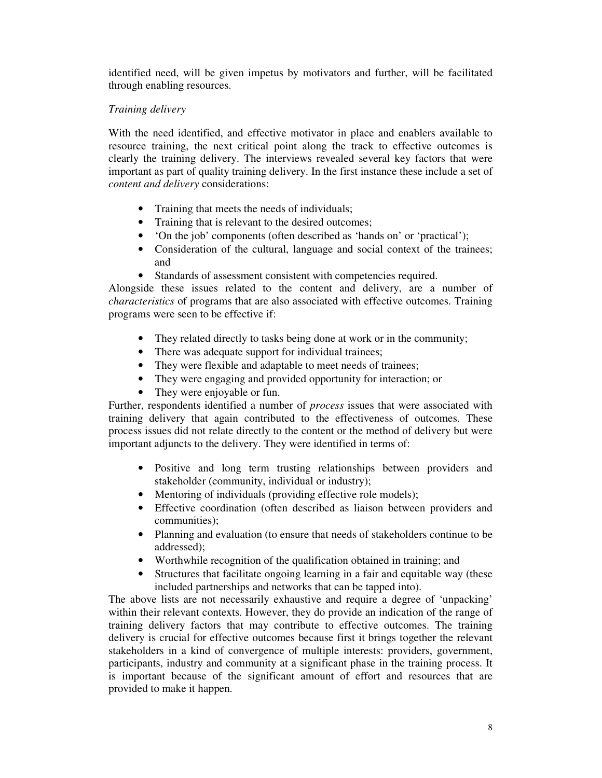identified need, will be given impetus by motivators and further, will be facilitated through enabling resources.

## *Training delivery*

With the need identified, and effective motivator in place and enablers available to resource training, the next critical point along the track to effective outcomes is clearly the training delivery. The interviews revealed several key factors that were important as part of quality training delivery. In the first instance these include a set of *content and delivery* considerations:

- Training that meets the needs of individuals;
- Training that is relevant to the desired outcomes;
- 'On the job' components (often described as 'hands on' or 'practical');
- Consideration of the cultural, language and social context of the trainees; and
- Standards of assessment consistent with competencies required.

Alongside these issues related to the content and delivery, are a number of *characteristics* of programs that are also associated with effective outcomes. Training programs were seen to be effective if:

- They related directly to tasks being done at work or in the community;
- There was adequate support for individual trainees;
- They were flexible and adaptable to meet needs of trainees;
- They were engaging and provided opportunity for interaction; or
- They were enjoyable or fun.

Further, respondents identified a number of *process* issues that were associated with training delivery that again contributed to the effectiveness of outcomes. These process issues did not relate directly to the content or the method of delivery but were important adjuncts to the delivery. They were identified in terms of:

- Positive and long term trusting relationships between providers and stakeholder (community, individual or industry);
- Mentoring of individuals (providing effective role models);
- Effective coordination (often described as liaison between providers and communities);
- Planning and evaluation (to ensure that needs of stakeholders continue to be addressed);
- Worthwhile recognition of the qualification obtained in training; and
- Structures that facilitate ongoing learning in a fair and equitable way (these included partnerships and networks that can be tapped into).

The above lists are not necessarily exhaustive and require a degree of 'unpacking' within their relevant contexts. However, they do provide an indication of the range of training delivery factors that may contribute to effective outcomes. The training delivery is crucial for effective outcomes because first it brings together the relevant stakeholders in a kind of convergence of multiple interests: providers, government, participants, industry and community at a significant phase in the training process. It is important because of the significant amount of effort and resources that are provided to make it happen.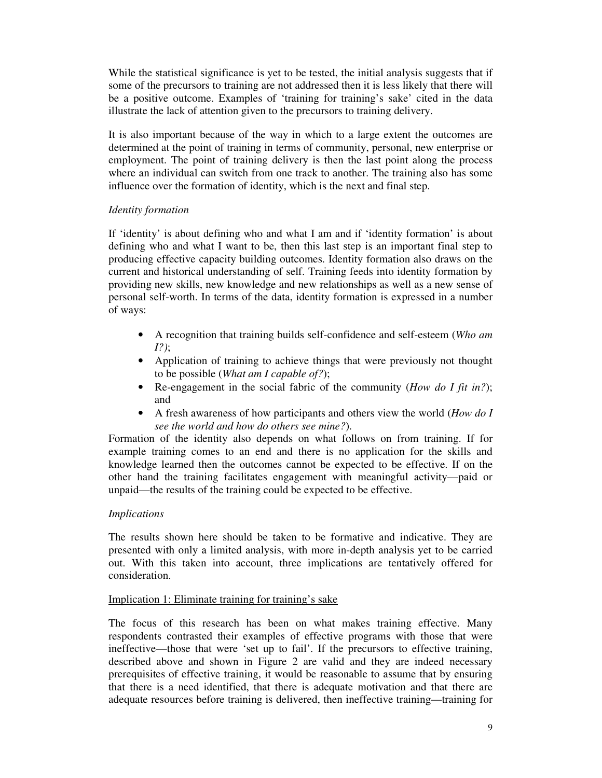While the statistical significance is yet to be tested, the initial analysis suggests that if some of the precursors to training are not addressed then it is less likely that there will be a positive outcome. Examples of 'training for training's sake' cited in the data illustrate the lack of attention given to the precursors to training delivery.

It is also important because of the way in which to a large extent the outcomes are determined at the point of training in terms of community, personal, new enterprise or employment. The point of training delivery is then the last point along the process where an individual can switch from one track to another. The training also has some influence over the formation of identity, which is the next and final step.

## *Identity formation*

If 'identity' is about defining who and what I am and if 'identity formation' is about defining who and what I want to be, then this last step is an important final step to producing effective capacity building outcomes. Identity formation also draws on the current and historical understanding of self. Training feeds into identity formation by providing new skills, new knowledge and new relationships as well as a new sense of personal self-worth. In terms of the data, identity formation is expressed in a number of ways:

- A recognition that training builds self-confidence and self-esteem (*Who am I?)*;
- Application of training to achieve things that were previously not thought to be possible (*What am I capable of?*);
- Re-engagement in the social fabric of the community (*How do I fit in?*); and
- A fresh awareness of how participants and others view the world (*How do I see the world and how do others see mine?*).

Formation of the identity also depends on what follows on from training. If for example training comes to an end and there is no application for the skills and knowledge learned then the outcomes cannot be expected to be effective. If on the other hand the training facilitates engagement with meaningful activity—paid or unpaid—the results of the training could be expected to be effective.

## *Implications*

The results shown here should be taken to be formative and indicative. They are presented with only a limited analysis, with more in-depth analysis yet to be carried out. With this taken into account, three implications are tentatively offered for consideration.

## Implication 1: Eliminate training for training's sake

The focus of this research has been on what makes training effective. Many respondents contrasted their examples of effective programs with those that were ineffective—those that were 'set up to fail'. If the precursors to effective training, described above and shown in Figure 2 are valid and they are indeed necessary prerequisites of effective training, it would be reasonable to assume that by ensuring that there is a need identified, that there is adequate motivation and that there are adequate resources before training is delivered, then ineffective training—training for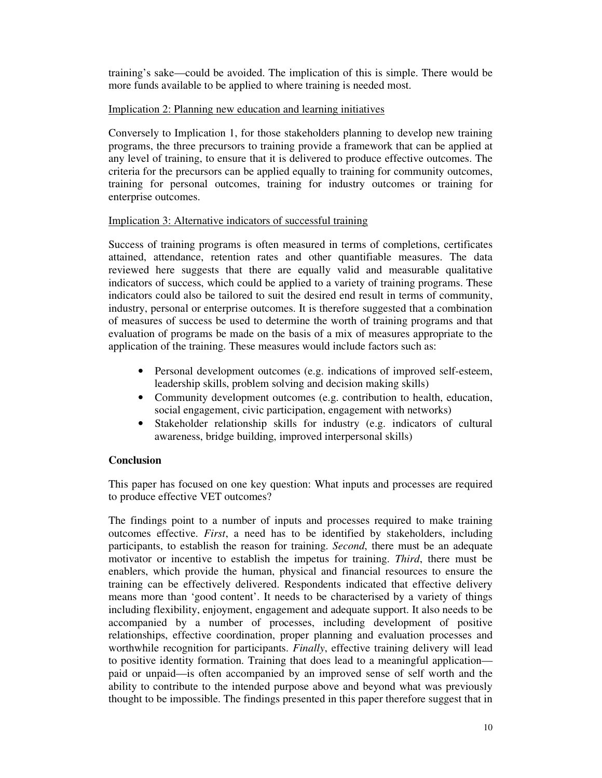training's sake—could be avoided. The implication of this is simple. There would be more funds available to be applied to where training is needed most.

## Implication 2: Planning new education and learning initiatives

Conversely to Implication 1, for those stakeholders planning to develop new training programs, the three precursors to training provide a framework that can be applied at any level of training, to ensure that it is delivered to produce effective outcomes. The criteria for the precursors can be applied equally to training for community outcomes, training for personal outcomes, training for industry outcomes or training for enterprise outcomes.

#### Implication 3: Alternative indicators of successful training

Success of training programs is often measured in terms of completions, certificates attained, attendance, retention rates and other quantifiable measures. The data reviewed here suggests that there are equally valid and measurable qualitative indicators of success, which could be applied to a variety of training programs. These indicators could also be tailored to suit the desired end result in terms of community, industry, personal or enterprise outcomes. It is therefore suggested that a combination of measures of success be used to determine the worth of training programs and that evaluation of programs be made on the basis of a mix of measures appropriate to the application of the training. These measures would include factors such as:

- Personal development outcomes (e.g. indications of improved self-esteem, leadership skills, problem solving and decision making skills)
- Community development outcomes (e.g. contribution to health, education, social engagement, civic participation, engagement with networks)
- Stakeholder relationship skills for industry (e.g. indicators of cultural awareness, bridge building, improved interpersonal skills)

## **Conclusion**

This paper has focused on one key question: What inputs and processes are required to produce effective VET outcomes?

The findings point to a number of inputs and processes required to make training outcomes effective. *First*, a need has to be identified by stakeholders, including participants, to establish the reason for training. *Second*, there must be an adequate motivator or incentive to establish the impetus for training. *Third*, there must be enablers, which provide the human, physical and financial resources to ensure the training can be effectively delivered. Respondents indicated that effective delivery means more than 'good content'. It needs to be characterised by a variety of things including flexibility, enjoyment, engagement and adequate support. It also needs to be accompanied by a number of processes, including development of positive relationships, effective coordination, proper planning and evaluation processes and worthwhile recognition for participants. *Finally*, effective training delivery will lead to positive identity formation. Training that does lead to a meaningful application paid or unpaid—is often accompanied by an improved sense of self worth and the ability to contribute to the intended purpose above and beyond what was previously thought to be impossible. The findings presented in this paper therefore suggest that in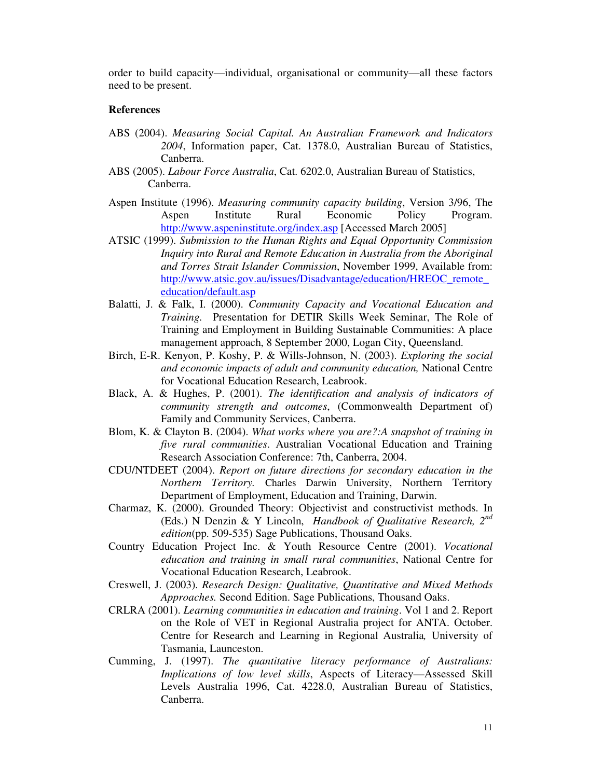order to build capacity—individual, organisational or community—all these factors need to be present.

#### **References**

- ABS (2004). *Measuring Social Capital. An Australian Framework and Indicators 2004*, Information paper, Cat. 1378.0, Australian Bureau of Statistics, Canberra.
- ABS (2005). *Labour Force Australia*, Cat. 6202.0, Australian Bureau of Statistics, Canberra.
- Aspen Institute (1996). *Measuring community capacity building*, Version 3/96, The Aspen Institute Rural Economic Policy Program. http://www.aspeninstitute.org/index.asp [Accessed March 2005]
- ATSIC (1999). *Submission to the Human Rights and Equal Opportunity Commission Inquiry into Rural and Remote Education in Australia from the Aboriginal and Torres Strait Islander Commission*, November 1999, Available from: http://www.atsic.gov.au/issues/Disadvantage/education/HREOC\_remote\_ education/default.asp
- Balatti, J. & Falk, I. (2000). *Community Capacity and Vocational Education and Training.* Presentation for DETIR Skills Week Seminar, The Role of Training and Employment in Building Sustainable Communities: A place management approach, 8 September 2000, Logan City, Queensland.
- Birch, E-R. Kenyon, P. Koshy, P. & Wills-Johnson, N. (2003). *Exploring the social and economic impacts of adult and community education,* National Centre for Vocational Education Research, Leabrook.
- Black, A. & Hughes, P. (2001). *The identification and analysis of indicators of community strength and outcomes*, (Commonwealth Department of) Family and Community Services, Canberra.
- Blom, K. & Clayton B. (2004). *What works where you are?:A snapshot of training in five rural communities*. Australian Vocational Education and Training Research Association Conference: 7th, Canberra, 2004.
- CDU/NTDEET (2004). *Report on future directions for secondary education in the Northern Territory.* Charles Darwin University, Northern Territory Department of Employment, Education and Training, Darwin.
- Charmaz, K. (2000). Grounded Theory: Objectivist and constructivist methods. In (Eds.) N Denzin & Y Lincoln, *Handbook of Qualitative Research, 2 nd edition*(pp. 509-535) Sage Publications, Thousand Oaks.
- Country Education Project Inc. & Youth Resource Centre (2001). *Vocational education and training in small rural communities*, National Centre for Vocational Education Research, Leabrook.
- Creswell, J. (2003). *Research Design: Qualitative, Quantitative and Mixed Methods Approaches.* Second Edition. Sage Publications, Thousand Oaks.
- CRLRA (2001). *Learning communities in education and training*. Vol 1 and 2. Report on the Role of VET in Regional Australia project for ANTA. October. Centre for Research and Learning in Regional Australia*,* University of Tasmania, Launceston.
- Cumming, J. (1997). *The quantitative literacy performance of Australians: Implications of low level skills*, Aspects of Literacy—Assessed Skill Levels Australia 1996, Cat. 4228.0, Australian Bureau of Statistics, Canberra.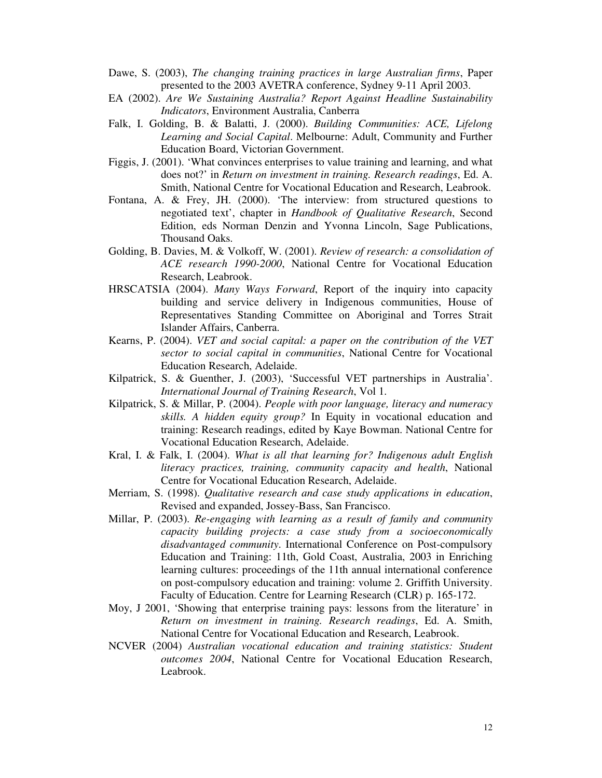- Dawe, S. (2003), *The changing training practices in large Australian firms*, Paper presented to the 2003 AVETRA conference, Sydney 9-11 April 2003.
- EA (2002). *Are We Sustaining Australia? Report Against Headline Sustainability Indicators*, Environment Australia, Canberra
- Falk, I. Golding, B. & Balatti, J. (2000). *Building Communities: ACE, Lifelong Learning and Social Capital*. Melbourne: Adult, Community and Further Education Board, Victorian Government.
- Figgis, J. (2001). 'What convinces enterprises to value training and learning, and what does not?' in *Return on investment in training. Research readings*, Ed. A. Smith, National Centre for Vocational Education and Research, Leabrook.
- Fontana, A. & Frey, JH. (2000). 'The interview: from structured questions to negotiated text', chapter in *Handbook of Qualitative Research*, Second Edition, eds Norman Denzin and Yvonna Lincoln, Sage Publications, Thousand Oaks.
- Golding, B. Davies, M. & Volkoff, W. (2001). *Review of research: a consolidation of ACE research 1990-2000*, National Centre for Vocational Education Research, Leabrook.
- HRSCATSIA (2004). *Many Ways Forward*, Report of the inquiry into capacity building and service delivery in Indigenous communities, House of Representatives Standing Committee on Aboriginal and Torres Strait Islander Affairs, Canberra.
- Kearns, P. (2004). *VET and social capital: a paper on the contribution of the VET sector to social capital in communities*, National Centre for Vocational Education Research, Adelaide.
- Kilpatrick, S. & Guenther, J. (2003), 'Successful VET partnerships in Australia'. *International Journal of Training Research*, Vol 1.
- Kilpatrick, S. & Millar, P. (2004). *People with poor language, literacy and numeracy skills. A hidden equity group?* In Equity in vocational education and training: Research readings, edited by Kaye Bowman. National Centre for Vocational Education Research, Adelaide.
- Kral, I. & Falk, I. (2004). *What is all that learning for? Indigenous adult English literacy practices, training, community capacity and health*, National Centre for Vocational Education Research, Adelaide.
- Merriam, S. (1998). *Qualitative research and case study applications in education*, Revised and expanded, Jossey-Bass, San Francisco.
- Millar, P. (2003). *Re-engaging with learning as a result of family and community capacity building projects: a case study from a socioeconomically disadvantaged community*. International Conference on Post-compulsory Education and Training: 11th, Gold Coast, Australia, 2003 in Enriching learning cultures: proceedings of the 11th annual international conference on post-compulsory education and training: volume 2. Griffith University. Faculty of Education. Centre for Learning Research (CLR) p. 165-172.
- Moy, J 2001, 'Showing that enterprise training pays: lessons from the literature' in *Return on investment in training. Research readings*, Ed. A. Smith, National Centre for Vocational Education and Research, Leabrook.
- NCVER (2004) *Australian vocational education and training statistics: Student outcomes 2004*, National Centre for Vocational Education Research, Leabrook.